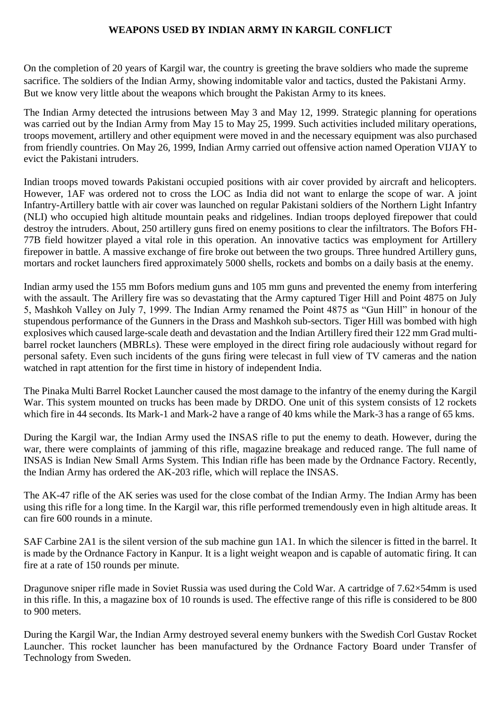## **WEAPONS USED BY INDIAN ARMY IN KARGIL CONFLICT**

On the completion of 20 years of Kargil war, the country is greeting the brave soldiers who made the supreme sacrifice. The soldiers of the Indian Army, showing indomitable valor and tactics, dusted the Pakistani Army. But we know very little about the weapons which brought the Pakistan Army to its knees.

The Indian Army detected the intrusions between May 3 and May 12, 1999. Strategic planning for operations was carried out by the Indian Army from May 15 to May 25, 1999. Such activities included military operations, troops movement, artillery and other equipment were moved in and the necessary equipment was also purchased from friendly countries. On May 26, 1999, Indian Army carried out offensive action named Operation VIJAY to evict the Pakistani intruders.

Indian troops moved towards Pakistani occupied positions with air cover provided by aircraft and helicopters. However, 1AF was ordered not to cross the LOC as India did not want to enlarge the scope of war. A joint Infantry-Artillery battle with air cover was launched on regular Pakistani soldiers of the Northern Light Infantry (NLI) who occupied high altitude mountain peaks and ridgelines. Indian troops deployed firepower that could destroy the intruders. About, 250 artillery guns fired on enemy positions to clear the infiltrators. The Bofors FH-77B field howitzer played a vital role in this operation. An innovative tactics was employment for Artillery firepower in battle. A massive exchange of fire broke out between the two groups. Three hundred Artillery guns, mortars and rocket launchers fired approximately 5000 shells, rockets and bombs on a daily basis at the enemy.

Indian army used the 155 mm Bofors medium guns and 105 mm guns and prevented the enemy from interfering with the assault. The Arillery fire was so devastating that the Army captured Tiger Hill and Point 4875 on July 5, Mashkoh Valley on July 7, 1999. The Indian Army renamed the Point 4875 as "Gun Hill" in honour of the stupendous performance of the Gunners in the Drass and Mashkoh sub-sectors. Tiger Hill was bombed with high explosives which caused large-scale death and devastation and the Indian Artillery fired their 122 mm Grad multibarrel rocket launchers (MBRLs). These were employed in the direct firing role audaciously without regard for personal safety. Even such incidents of the guns firing were telecast in full view of TV cameras and the nation watched in rapt attention for the first time in history of independent India.

The Pinaka Multi Barrel Rocket Launcher caused the most damage to the infantry of the enemy during the Kargil War. This system mounted on trucks has been made by DRDO. One unit of this system consists of 12 rockets which fire in 44 seconds. Its Mark-1 and Mark-2 have a range of 40 kms while the Mark-3 has a range of 65 kms.

During the Kargil war, the Indian Army used the INSAS rifle to put the enemy to death. However, during the war, there were complaints of jamming of this rifle, magazine breakage and reduced range. The full name of INSAS is Indian New Small Arms System. This Indian rifle has been made by the Ordnance Factory. Recently, the Indian Army has ordered the AK-203 rifle, which will replace the INSAS.

The AK-47 rifle of the AK series was used for the close combat of the Indian Army. The Indian Army has been using this rifle for a long time. In the Kargil war, this rifle performed tremendously even in high altitude areas. It can fire 600 rounds in a minute.

SAF Carbine 2A1 is the silent version of the sub machine gun 1A1. In which the silencer is fitted in the barrel. It is made by the Ordnance Factory in Kanpur. It is a light weight weapon and is capable of automatic firing. It can fire at a rate of 150 rounds per minute.

Dragunove sniper rifle made in Soviet Russia was used during the Cold War. A cartridge of 7.62×54mm is used in this rifle. In this, a magazine box of 10 rounds is used. The effective range of this rifle is considered to be 800 to 900 meters.

During the Kargil War, the Indian Army destroyed several enemy bunkers with the Swedish Corl Gustav Rocket Launcher. This rocket launcher has been manufactured by the Ordnance Factory Board under Transfer of Technology from Sweden.